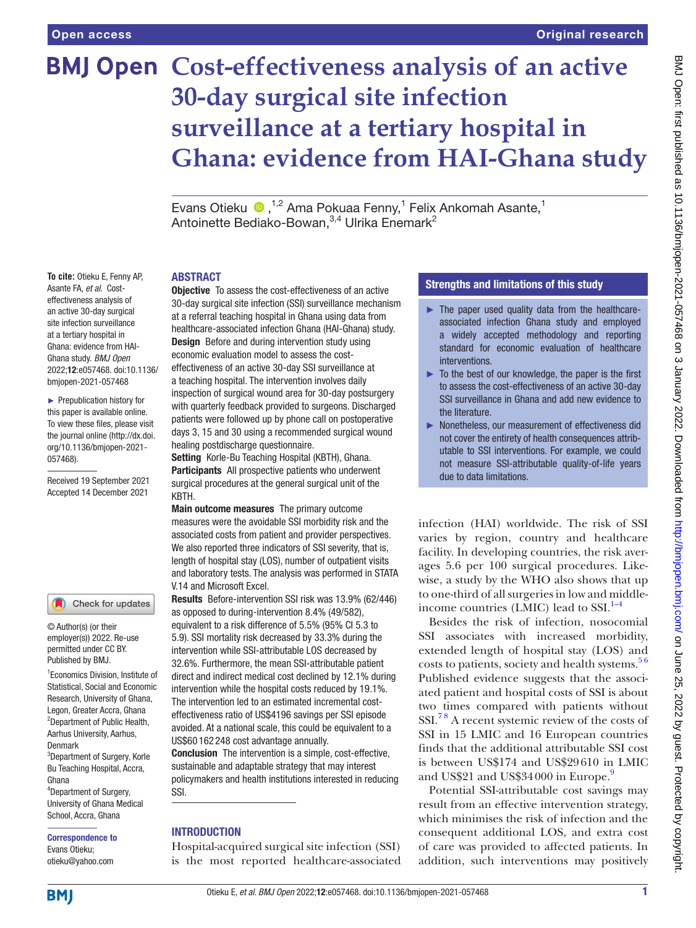**To cite:** Otieku E, Fenny AP, Asante FA, *et al*. Costeffectiveness analysis of an active 30-day surgical site infection surveillance at a tertiary hospital in Ghana: evidence from HAI-Ghana study. *BMJ Open* 2022;12:e057468. doi:10.1136/ bmjopen-2021-057468 ► Prepublication history for this paper is available online. To view these files, please visit the journal online [\(http://dx.doi.](http://dx.doi.org/10.1136/bmjopen-2021-057468) [org/10.1136/bmjopen-2021-](http://dx.doi.org/10.1136/bmjopen-2021-057468)

# **BMJ Open Cost-effectiveness analysis of an active 30-day surgical site infection surveillance at a tertiary hospital in Ghana: evidence from HAI-Ghana study**

Evans Otieku <sup>n, 1,2</sup> Ama Pokuaa Fenny,<sup>1</sup> Felix Ankomah Asante,<sup>1</sup> Antoinette Bediako-Bowan,<sup>3,4</sup> Ulrika Enemark<sup>2</sup>

### ABSTRACT

Objective To assess the cost-effectiveness of an active 30-day surgical site infection (SSI) surveillance mechanism at a referral teaching hospital in Ghana using data from healthcare-associated infection Ghana (HAI-Ghana) study. **Design** Before and during intervention study using economic evaluation model to assess the costeffectiveness of an active 30-day SSI surveillance at a teaching hospital. The intervention involves daily inspection of surgical wound area for 30-day postsurgery with quarterly feedback provided to surgeons. Discharged patients were followed up by phone call on postoperative days 3, 15 and 30 using a recommended surgical wound healing postdischarge questionnaire.

Setting Korle-Bu Teaching Hospital (KBTH), Ghana. Participants All prospective patients who underwent surgical procedures at the general surgical unit of the KBTH.

Main outcome measures The primary outcome measures were the avoidable SSI morbidity risk and the associated costs from patient and provider perspectives. We also reported three indicators of SSI severity, that is, length of hospital stay (LOS), number of outpatient visits and laboratory tests. The analysis was performed in STATA V.14 and Microsoft Excel.

Results Before-intervention SSI risk was 13.9% (62/446) as opposed to during-intervention 8.4% (49/582), equivalent to a risk difference of 5.5% (95% CI 5.3 to 5.9). SSI mortality risk decreased by 33.3% during the intervention while SSI-attributable LOS decreased by 32.6%. Furthermore, the mean SSI-attributable patient direct and indirect medical cost declined by 12.1% during intervention while the hospital costs reduced by 19.1%. The intervention led to an estimated incremental costeffectiveness ratio of US\$4196 savings per SSI episode avoided. At a national scale, this could be equivalent to a US\$60 162 248 cost advantage annually.

Conclusion The intervention is a simple, cost-effective, sustainable and adaptable strategy that may interest policymakers and health institutions interested in reducing SSI.

### INTRODUCTION

Hospital-acquired surgical site infection (SSI) is the most reported healthcare-associated

## Strengths and limitations of this study

- $\blacktriangleright$  The paper used quality data from the healthcareassociated infection Ghana study and employed a widely accepted methodology and reporting standard for economic evaluation of healthcare interventions.
- $\blacktriangleright$  To the best of our knowledge, the paper is the first to assess the cost-effectiveness of an active 30-day SSI surveillance in Ghana and add new evidence to the literature.
- ► Nonetheless, our measurement of effectiveness did not cover the entirety of health consequences attributable to SSI interventions. For example, we could not measure SSI-attributable quality-of-life years due to data limitations.

infection (HAI) worldwide. The risk of SSI varies by region, country and healthcare facility. In developing countries, the risk averages 5.6 per 100 surgical procedures. Likewise, a study by the WHO also shows that up to one-third of all surgeries in low and middleincome countries (LMIC) lead to  $SSI.<sup>1-4</sup>$ 

Besides the risk of infection, nosocomial SSI associates with increased morbidity, extended length of hospital stay (LOS) and costs to patients, society and health systems. $56$ Published evidence suggests that the associated patient and hospital costs of SSI is about two times compared with patients without SSI.[7 8](#page-8-2) A recent systemic review of the costs of SSI in 15 LMIC and 16 European countries finds that the additional attributable SSI cost is between US\$174 and US\$29610 in LMIC and US\$21 and US\$34000 in Europe.<sup>[9](#page-8-3)</sup>

Potential SSI-attributable cost savings may result from an effective intervention strategy, which minimises the risk of infection and the consequent additional LOS, and extra cost of care was provided to affected patients. In addition, such interventions may positively

1 Economics Division, Institute of permitted under CC BY. Published by BMJ.

© Author(s) (or their employer(s)) 2022. Re-use

Check for updates

[057468\)](http://dx.doi.org/10.1136/bmjopen-2021-057468).

Received 19 September 2021 Accepted 14 December 2021

Statistical, Social and Economic Research, University of Ghana, Legon, Greater Accra, Ghana 2 Department of Public Health, Aarhus University, Aarhus, Denmark 3 Department of Surgery, Korle Bu Teaching Hospital, Accra, Ghana 4 Department of Surgery,

University of Ghana Medical School, Accra, Ghana

Correspondence to Evans Otieku; otieku@yahoo.com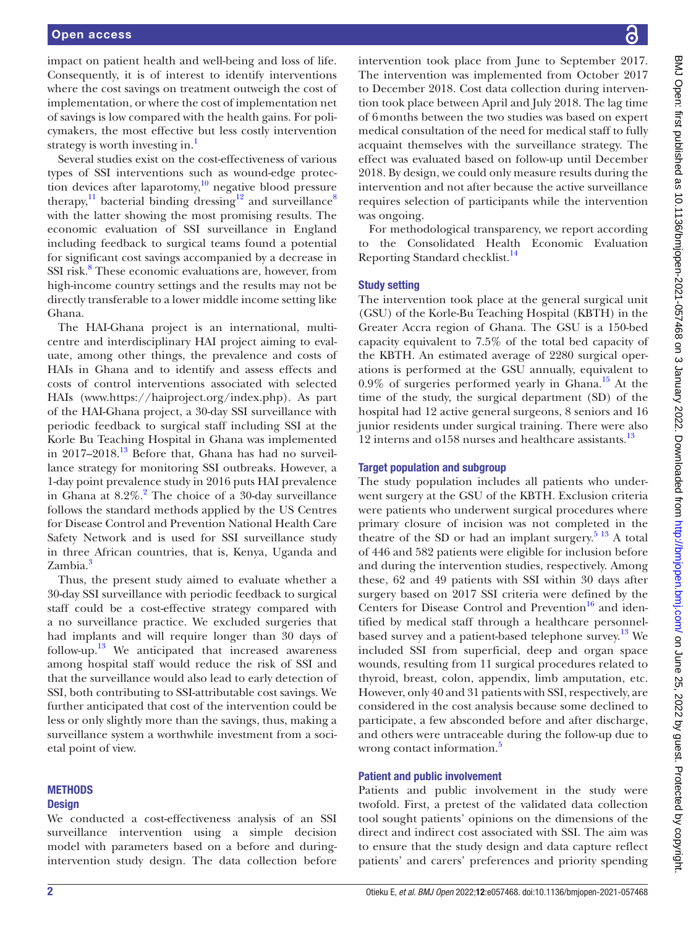impact on patient health and well-being and loss of life. Consequently, it is of interest to identify interventions where the cost savings on treatment outweigh the cost of implementation, or where the cost of implementation net of savings is low compared with the health gains. For policymakers, the most effective but less costly intervention strategy is worth investing in.<sup>[1](#page-8-0)</sup>

Several studies exist on the cost-effectiveness of various types of SSI interventions such as wound-edge protection devices after laparotomy, $10$  negative blood pressure therapy,<sup>11</sup> bacterial binding dressing<sup>12</sup> and surveillance<sup>[8](#page-8-7)</sup> with the latter showing the most promising results. The economic evaluation of SSI surveillance in England including feedback to surgical teams found a potential for significant cost savings accompanied by a decrease in SSI risk.<sup>8</sup> These economic evaluations are, however, from high-income country settings and the results may not be directly transferable to a lower middle income setting like Ghana.

The HAI-Ghana project is an international, multicentre and interdisciplinary HAI project aiming to evaluate, among other things, the prevalence and costs of HAIs in Ghana and to identify and assess effects and costs of control interventions associated with selected HAIs (www.<https://haiproject.org/index.php>). As part of the HAI-Ghana project, a 30-day SSI surveillance with periodic feedback to surgical staff including SSI at the Korle Bu Teaching Hospital in Ghana was implemented in 2017–2018[.13](#page-8-8) Before that, Ghana has had no surveillance strategy for monitoring SSI outbreaks. However, a 1-day point prevalence study in 2016 puts HAI prevalence in Ghana at  $8.2\%$  $8.2\%$  $8.2\%$ .<sup>2</sup> The choice of a 30-day surveillance follows the standard methods applied by the US Centres for Disease Control and Prevention National Health Care Safety Network and is used for SSI surveillance study in three African countries, that is, Kenya, Uganda and Zambia.<sup>[3](#page-8-10)</sup>

Thus, the present study aimed to evaluate whether a 30-day SSI surveillance with periodic feedback to surgical staff could be a cost-effective strategy compared with a no surveillance practice. We excluded surgeries that had implants and will require longer than 30 days of follow-up. [13](#page-8-8) We anticipated that increased awareness among hospital staff would reduce the risk of SSI and that the surveillance would also lead to early detection of SSI, both contributing to SSI-attributable cost savings. We further anticipated that cost of the intervention could be less or only slightly more than the savings, thus, making a surveillance system a worthwhile investment from a societal point of view.

### **METHODS**

### **Design**

We conducted a cost-effectiveness analysis of an SSI surveillance intervention using a simple decision model with parameters based on a before and duringintervention study design. The data collection before

intervention took place from June to September 2017. The intervention was implemented from October 2017 to December 2018. Cost data collection during intervention took place between April and July 2018. The lag time of 6months between the two studies was based on expert medical consultation of the need for medical staff to fully acquaint themselves with the surveillance strategy. The effect was evaluated based on follow-up until December 2018. By design, we could only measure results during the intervention and not after because the active surveillance requires selection of participants while the intervention was ongoing.

For methodological transparency, we report according to the Consolidated Health Economic Evaluation Reporting Standard checklist.<sup>14</sup>

### Study setting

The intervention took place at the general surgical unit (GSU) of the Korle-Bu Teaching Hospital (KBTH) in the Greater Accra region of Ghana. The GSU is a 150-bed capacity equivalent to 7.5% of the total bed capacity of the KBTH. An estimated average of 2280 surgical operations is performed at the GSU annually, equivalent to  $0.9\%$  of surgeries performed yearly in Ghana.<sup>15</sup> At the time of the study, the surgical department (SD) of the hospital had 12 active general surgeons, 8 seniors and 16 junior residents under surgical training. There were also 12 interns and o158 nurses and healthcare assistants.<sup>13</sup>

### Target population and subgroup

The study population includes all patients who underwent surgery at the GSU of the KBTH. Exclusion criteria were patients who underwent surgical procedures where primary closure of incision was not completed in the theatre of the SD or had an implant surgery.<sup>5 13</sup> A total of 446 and 582 patients were eligible for inclusion before and during the intervention studies, respectively. Among these, 62 and 49 patients with SSI within 30 days after surgery based on 2017 SSI criteria were defined by the Centers for Disease Control and Prevention $^{16}$  and identified by medical staff through a healthcare personnel-based survey and a patient-based telephone survey.<sup>[13](#page-8-8)</sup> We included SSI from superficial, deep and organ space wounds, resulting from 11 surgical procedures related to thyroid, breast, colon, appendix, limb amputation, etc. However, only 40 and 31 patients with SSI, respectively, are considered in the cost analysis because some declined to participate, a few absconded before and after discharge, and others were untraceable during the follow-up due to wrong contact information.<sup>[5](#page-8-1)</sup>

### Patient and public involvement

Patients and public involvement in the study were twofold. First, a pretest of the validated data collection tool sought patients' opinions on the dimensions of the direct and indirect cost associated with SSI. The aim was to ensure that the study design and data capture reflect patients' and carers' preferences and priority spending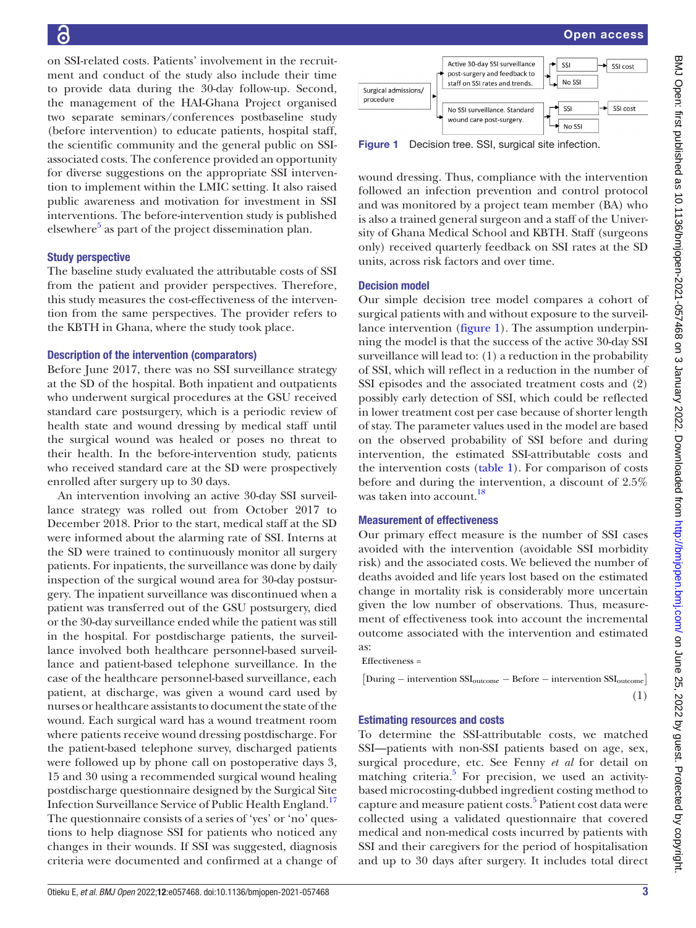# $\epsilon$

on SSI-related costs. Patients' involvement in the recruitment and conduct of the study also include their time to provide data during the 30-day follow-up. Second, the management of the HAI-Ghana Project organised two separate seminars/conferences postbaseline study (before intervention) to educate patients, hospital staff, the scientific community and the general public on SSIassociated costs. The conference provided an opportunity for diverse suggestions on the appropriate SSI intervention to implement within the LMIC setting. It also raised public awareness and motivation for investment in SSI interventions. The before-intervention study is published elsewhere<sup>5</sup> as part of the project dissemination plan.

### Study perspective

The baseline study evaluated the attributable costs of SSI from the patient and provider perspectives. Therefore, this study measures the cost-effectiveness of the intervention from the same perspectives. The provider refers to the KBTH in Ghana, where the study took place.

### Description of the intervention (comparators)

Before June 2017, there was no SSI surveillance strategy at the SD of the hospital. Both inpatient and outpatients who underwent surgical procedures at the GSU received standard care postsurgery, which is a periodic review of health state and wound dressing by medical staff until the surgical wound was healed or poses no threat to their health. In the before-intervention study, patients who received standard care at the SD were prospectively enrolled after surgery up to 30 days.

An intervention involving an active 30-day SSI surveillance strategy was rolled out from October 2017 to December 2018. Prior to the start, medical staff at the SD were informed about the alarming rate of SSI. Interns at the SD were trained to continuously monitor all surgery patients. For inpatients, the surveillance was done by daily inspection of the surgical wound area for 30-day postsurgery. The inpatient surveillance was discontinued when a patient was transferred out of the GSU postsurgery, died or the 30-day surveillance ended while the patient was still in the hospital. For postdischarge patients, the surveillance involved both healthcare personnel-based surveillance and patient-based telephone surveillance. In the case of the healthcare personnel-based surveillance, each patient, at discharge, was given a wound card used by nurses or healthcare assistants to document the state of the wound. Each surgical ward has a wound treatment room where patients receive wound dressing postdischarge. For the patient-based telephone survey, discharged patients were followed up by phone call on postoperative days 3, 15 and 30 using a recommended surgical wound healing postdischarge questionnaire designed by the Surgical Site Infection Surveillance Service of Public Health England[.17](#page-8-14) The questionnaire consists of a series of 'yes' or 'no' questions to help diagnose SSI for patients who noticed any changes in their wounds. If SSI was suggested, diagnosis criteria were documented and confirmed at a change of



<span id="page-2-0"></span>Figure 1 Decision tree. SSI, surgical site infection.

wound dressing. Thus, compliance with the intervention followed an infection prevention and control protocol and was monitored by a project team member (BA) who is also a trained general surgeon and a staff of the University of Ghana Medical School and KBTH. Staff (surgeons only) received quarterly feedback on SSI rates at the SD units, across risk factors and over time.

### Decision model

Our simple decision tree model compares a cohort of surgical patients with and without exposure to the surveillance intervention [\(figure](#page-2-0) 1). The assumption underpinning the model is that the success of the active 30-day SSI surveillance will lead to: (1) a reduction in the probability of SSI, which will reflect in a reduction in the number of SSI episodes and the associated treatment costs and (2) possibly early detection of SSI, which could be reflected in lower treatment cost per case because of shorter length of stay. The parameter values used in the model are based on the observed probability of SSI before and during intervention, the estimated SSI-attributable costs and the intervention costs ([table](#page-3-0) 1). For comparison of costs before and during the intervention, a discount of 2.5% was taken into account.<sup>18</sup>

### Measurement of effectiveness

Our primary effect measure is the number of SSI cases avoided with the intervention (avoidable SSI morbidity risk) and the associated costs. We believed the number of deaths avoided and life years lost based on the estimated change in mortality risk is considerably more uncertain given the low number of observations. Thus, measurement of effectiveness took into account the incremental outcome associated with the intervention and estimated as:

Effectiveness =

[ During *<sup>−</sup>* intervention SSIoutcome *<sup>−</sup>* Before *<sup>−</sup>* intervention SSIoutcome]

(1)

### Estimating resources and costs

To determine the SSI-attributable costs, we matched SSI—patients with non-SSI patients based on age, sex, surgical procedure, etc. See Fenny *et al* for detail on matching criteria.<sup>5</sup> For precision, we used an activitybased microcosting-dubbed ingredient costing method to capture and measure patient costs.<sup>[5](#page-8-1)</sup> Patient cost data were collected using a validated questionnaire that covered medical and non-medical costs incurred by patients with SSI and their caregivers for the period of hospitalisation and up to 30 days after surgery. It includes total direct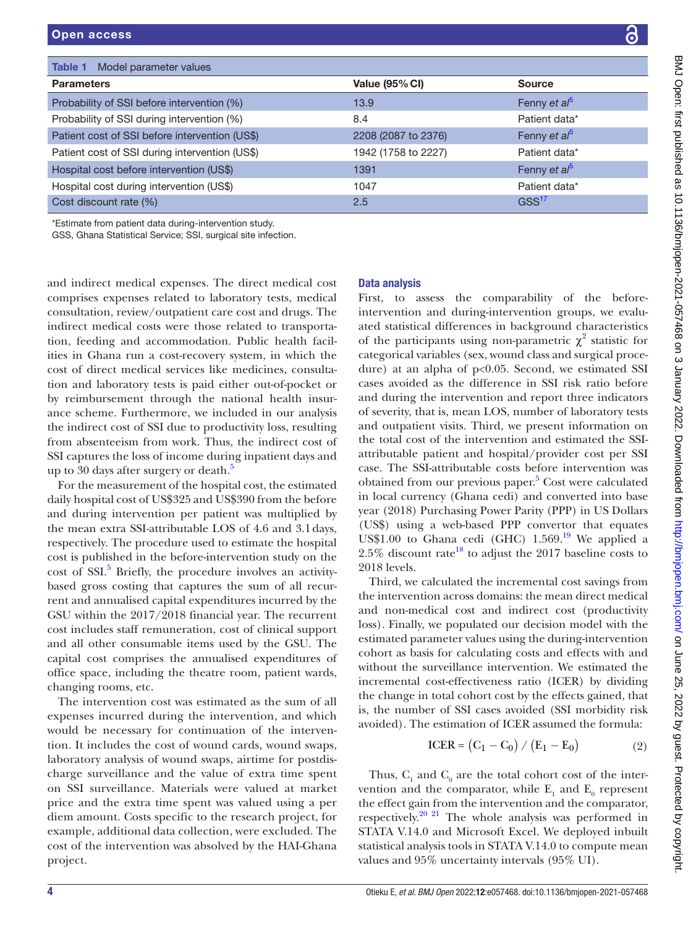| ļ                                                                                                                       |
|-------------------------------------------------------------------------------------------------------------------------|
|                                                                                                                         |
|                                                                                                                         |
|                                                                                                                         |
|                                                                                                                         |
| :                                                                                                                       |
|                                                                                                                         |
|                                                                                                                         |
| $\begin{array}{c} \begin{array}{c} \begin{array}{c} \end{array}\\ \begin{array}{c} \end{array} \end{array} \end{array}$ |
|                                                                                                                         |
|                                                                                                                         |
|                                                                                                                         |
|                                                                                                                         |
| $\frac{1}{2}$                                                                                                           |
|                                                                                                                         |
|                                                                                                                         |
| $\frac{2}{3}$                                                                                                           |
|                                                                                                                         |
|                                                                                                                         |
| $\ddot{\phantom{0}}$                                                                                                    |
|                                                                                                                         |
|                                                                                                                         |
|                                                                                                                         |
|                                                                                                                         |
|                                                                                                                         |
|                                                                                                                         |
|                                                                                                                         |
|                                                                                                                         |
|                                                                                                                         |
| $\ddot{\cdot}$                                                                                                          |
|                                                                                                                         |
|                                                                                                                         |
|                                                                                                                         |
|                                                                                                                         |
| ᠈                                                                                                                       |
|                                                                                                                         |
| J                                                                                                                       |
|                                                                                                                         |
|                                                                                                                         |
|                                                                                                                         |
|                                                                                                                         |
|                                                                                                                         |
| ֡֡֡֡֡֡֡                                                                                                                 |
|                                                                                                                         |
| ١                                                                                                                       |
|                                                                                                                         |
|                                                                                                                         |
|                                                                                                                         |
|                                                                                                                         |
|                                                                                                                         |
|                                                                                                                         |
|                                                                                                                         |
|                                                                                                                         |
| anadoiund/tut                                                                                                           |
|                                                                                                                         |
|                                                                                                                         |
|                                                                                                                         |
|                                                                                                                         |
|                                                                                                                         |
|                                                                                                                         |
|                                                                                                                         |
| َة<br>ا<br>ì                                                                                                            |
| l                                                                                                                       |
| ı                                                                                                                       |
| l<br>ļ                                                                                                                  |
|                                                                                                                         |
|                                                                                                                         |
| ŕ<br>l                                                                                                                  |
|                                                                                                                         |
| j<br>I                                                                                                                  |
|                                                                                                                         |
|                                                                                                                         |
|                                                                                                                         |
|                                                                                                                         |
|                                                                                                                         |
|                                                                                                                         |
|                                                                                                                         |
| į                                                                                                                       |
| ֓֕֡֡<br>١                                                                                                               |

<span id="page-3-0"></span>

| Model parameter values<br>Table 1              |                     |                          |
|------------------------------------------------|---------------------|--------------------------|
| <b>Parameters</b>                              | Value (95% CI)      | <b>Source</b>            |
| Probability of SSI before intervention (%)     | 13.9                | Fenny et al <sup>5</sup> |
| Probability of SSI during intervention (%)     | 8.4                 | Patient data*            |
| Patient cost of SSI before intervention (US\$) | 2208 (2087 to 2376) | Fenny et al <sup>5</sup> |
| Patient cost of SSI during intervention (US\$) | 1942 (1758 to 2227) | Patient data*            |
| Hospital cost before intervention (US\$)       | 1391                | Fenny et al <sup>5</sup> |
| Hospital cost during intervention (US\$)       | 1047                | Patient data*            |
| Cost discount rate (%)                         | 2.5                 | GSS <sup>17</sup>        |

\*Estimate from patient data during-intervention study.

GSS, Ghana Statistical Service; SSI, surgical site infection.

and indirect medical expenses. The direct medical cost comprises expenses related to laboratory tests, medical consultation, review/outpatient care cost and drugs. The indirect medical costs were those related to transportation, feeding and accommodation. Public health facilities in Ghana run a cost-recovery system, in which the cost of direct medical services like medicines, consultation and laboratory tests is paid either out-of-pocket or by reimbursement through the national health insurance scheme. Furthermore, we included in our analysis the indirect cost of SSI due to productivity loss, resulting from absenteeism from work. Thus, the indirect cost of SSI captures the loss of income during inpatient days and up to 30 days after surgery or death. $5$ 

For the measurement of the hospital cost, the estimated daily hospital cost of US\$325 and US\$390 from the before and during intervention per patient was multiplied by the mean extra SSI-attributable LOS of 4.6 and 3.1days, respectively. The procedure used to estimate the hospital cost is published in the before-intervention study on the cost of SSI.<sup>[5](#page-8-1)</sup> Briefly, the procedure involves an activitybased gross costing that captures the sum of all recurrent and annualised capital expenditures incurred by the GSU within the 2017/2018 financial year. The recurrent cost includes staff remuneration, cost of clinical support and all other consumable items used by the GSU. The capital cost comprises the annualised expenditures of office space, including the theatre room, patient wards, changing rooms, etc.

The intervention cost was estimated as the sum of all expenses incurred during the intervention, and which would be necessary for continuation of the intervention. It includes the cost of wound cards, wound swaps, laboratory analysis of wound swaps, airtime for postdischarge surveillance and the value of extra time spent on SSI surveillance. Materials were valued at market price and the extra time spent was valued using a per diem amount. Costs specific to the research project, for example, additional data collection, were excluded. The cost of the intervention was absolved by the HAI-Ghana project.

### Data analysis

First, to assess the comparability of the beforeintervention and during-intervention groups, we evaluated statistical differences in background characteristics of the participants using non-parametric  $\chi^2$  statistic for categorical variables (sex, wound class and surgical procedure) at an alpha of p<0.05. Second, we estimated SSI cases avoided as the difference in SSI risk ratio before and during the intervention and report three indicators of severity, that is, mean LOS, number of laboratory tests and outpatient visits. Third, we present information on the total cost of the intervention and estimated the SSIattributable patient and hospital/provider cost per SSI case. The SSI-attributable costs before intervention was obtained from our previous paper.<sup>[5](#page-8-1)</sup> Cost were calculated in local currency (Ghana cedi) and converted into base year (2018) Purchasing Power Parity (PPP) in US Dollars (US\$) using a web-based PPP convertor that equates US\$1.00 to Ghana cedi (GHC)  $1.569$ .<sup>19</sup> We applied a 2.5% discount rate<sup>18</sup> to adjust the 2017 baseline costs to 2018 levels.

Third, we calculated the incremental cost savings from the intervention across domains: the mean direct medical and non-medical cost and indirect cost (productivity loss). Finally, we populated our decision model with the estimated parameter values using the during-intervention cohort as basis for calculating costs and effects with and without the surveillance intervention. We estimated the incremental cost-effectiveness ratio (ICER) by dividing the change in total cohort cost by the effects gained, that is, the number of SSI cases avoided (SSI morbidity risk avoided). The estimation of ICER assumed the formula:

$$
ICER = (C_1 - C_0) / (E_1 - E_0)
$$
 (2)

Thus,  $C_1$  and  $C_0$  are the total cohort cost of the intervention and the comparator, while  $E_1$  and  $E_0$  represent the effect gain from the intervention and the comparator, respectively.<sup>[20 21](#page-8-17)</sup> The whole analysis was performed in STATA V.14.0 and Microsoft Excel. We deployed inbuilt statistical analysis tools in STATA V.14.0 to compute mean values and 95% uncertainty intervals (95% UI).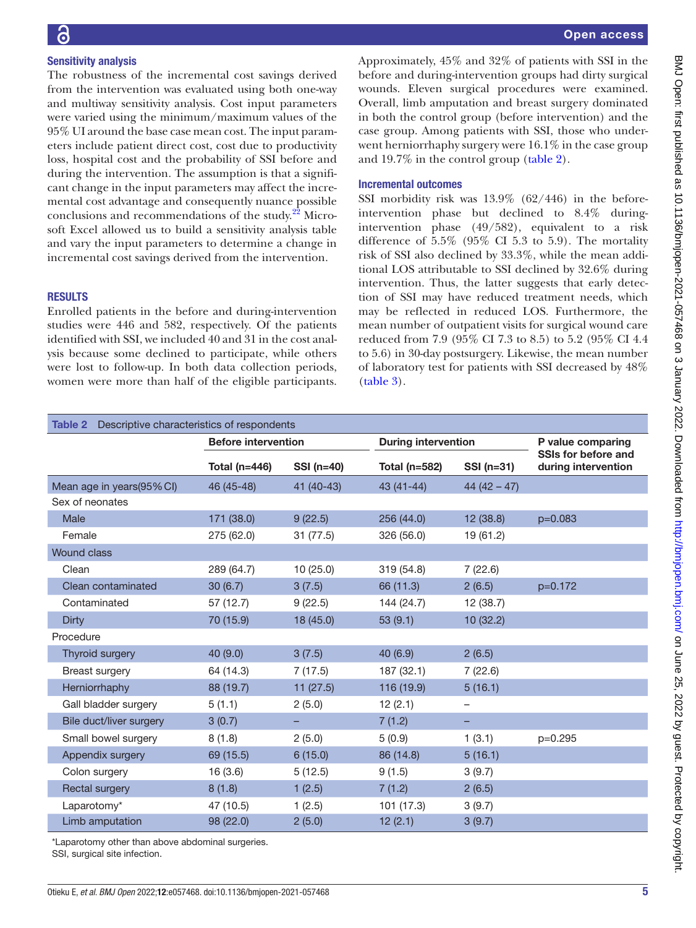# 

BMJ Open: first published as 10.1136/bmjopen-2021-057468 on 3 January 2022. Downloaded from <http://bmjopen.bmj.com/> on June 25, 2022 by guest. Protected by copyright.

BMJ Open: first published as 10.1136/bmjopen-2021-057468 on 3 January 2022. Downloaded from http://bmjopen.bmj.com/ on June 25, 2022 by guest. Protected by copyright

## Sensitivity analysis

The robustness of the incremental cost savings derived from the intervention was evaluated using both one-way and multiway sensitivity analysis. Cost input parameters were varied using the minimum/maximum values of the 95% UI around the base case mean cost. The input parameters include patient direct cost, cost due to productivity loss, hospital cost and the probability of SSI before and during the intervention. The assumption is that a significant change in the input parameters may affect the incremental cost advantage and consequently nuance possible conclusions and recommendations of the study. $22$  Microsoft Excel allowed us to build a sensitivity analysis table and vary the input parameters to determine a change in incremental cost savings derived from the intervention.

### **RESULTS**

Enrolled patients in the before and during-intervention studies were 446 and 582, respectively. Of the patients identified with SSI, we included 40 and 31 in the cost analysis because some declined to participate, while others were lost to follow-up. In both data collection periods, women were more than half of the eligible participants. Approximately, 45% and 32% of patients with SSI in the before and during-intervention groups had dirty surgical wounds. Eleven surgical procedures were examined. Overall, limb amputation and breast surgery dominated in both the control group (before intervention) and the case group. Among patients with SSI, those who underwent herniorrhaphy surgery were 16.1% in the case group and 19.7% in the control group ([table](#page-4-0) 2).

### Incremental outcomes

SSI morbidity risk was 13.9% (62/446) in the beforeintervention phase but declined to 8.4% duringintervention phase (49/582), equivalent to a risk difference of 5.5% (95% CI 5.3 to 5.9). The mortality risk of SSI also declined by 33.3%, while the mean additional LOS attributable to SSI declined by 32.6% during intervention. Thus, the latter suggests that early detection of SSI may have reduced treatment needs, which may be reflected in reduced LOS. Furthermore, the mean number of outpatient visits for surgical wound care reduced from 7.9 (95% CI 7.3 to 8.5) to 5.2 (95% CI 4.4 to 5.6) in 30-day postsurgery. Likewise, the mean number of laboratory test for patients with SSI decreased by 48% [\(table](#page-5-0) 3).

<span id="page-4-0"></span>

| Descriptive characteristics of respondents<br>Table 2 |                                                          |            |               |                          |                                            |
|-------------------------------------------------------|----------------------------------------------------------|------------|---------------|--------------------------|--------------------------------------------|
|                                                       | <b>Before intervention</b><br><b>During intervention</b> |            |               |                          | P value comparing                          |
|                                                       | Total (n=446)                                            | SSI (n=40) | Total (n=582) | SSI (n=31)               | SSIs for before and<br>during intervention |
| Mean age in years(95% CI)                             | 46 (45-48)                                               | 41 (40-43) | 43 (41-44)    | $44(42 - 47)$            |                                            |
| Sex of neonates                                       |                                                          |            |               |                          |                                            |
| Male                                                  | 171 (38.0)                                               | 9(22.5)    | 256 (44.0)    | 12 (38.8)                | p=0.083                                    |
| Female                                                | 275 (62.0)                                               | 31 (77.5)  | 326 (56.0)    | 19 (61.2)                |                                            |
| <b>Wound class</b>                                    |                                                          |            |               |                          |                                            |
| Clean                                                 | 289 (64.7)                                               | 10(25.0)   | 319 (54.8)    | 7(22.6)                  |                                            |
| Clean contaminated                                    | 30(6.7)                                                  | 3(7.5)     | 66 (11.3)     | 2(6.5)                   | p=0.172                                    |
| Contaminated                                          | 57 (12.7)                                                | 9(22.5)    | 144 (24.7)    | 12 (38.7)                |                                            |
| <b>Dirty</b>                                          | 70 (15.9)                                                | 18(45.0)   | 53(9.1)       | 10(32.2)                 |                                            |
| Procedure                                             |                                                          |            |               |                          |                                            |
| Thyroid surgery                                       | 40 (9.0)                                                 | 3(7.5)     | 40 (6.9)      | 2(6.5)                   |                                            |
| <b>Breast surgery</b>                                 | 64 (14.3)                                                | 7(17.5)    | 187 (32.1)    | 7(22.6)                  |                                            |
| Herniorrhaphy                                         | 88 (19.7)                                                | 11(27.5)   | 116 (19.9)    | 5(16.1)                  |                                            |
| Gall bladder surgery                                  | 5(1.1)                                                   | 2(5.0)     | 12(2.1)       | $\overline{\phantom{0}}$ |                                            |
| Bile duct/liver surgery                               | 3(0.7)                                                   |            | 7(1.2)        |                          |                                            |
| Small bowel surgery                                   | 8(1.8)                                                   | 2(5.0)     | 5(0.9)        | 1(3.1)                   | $p=0.295$                                  |
| Appendix surgery                                      | 69 (15.5)                                                | 6(15.0)    | 86 (14.8)     | 5(16.1)                  |                                            |
| Colon surgery                                         | 16(3.6)                                                  | 5(12.5)    | 9(1.5)        | 3(9.7)                   |                                            |
| Rectal surgery                                        | 8(1.8)                                                   | 1(2.5)     | 7(1.2)        | 2(6.5)                   |                                            |
| Laparotomy*                                           | 47 (10.5)                                                | 1(2.5)     | 101(17.3)     | 3(9.7)                   |                                            |
| Limb amputation                                       | 98 (22.0)                                                | 2(5.0)     | 12(2.1)       | 3(9.7)                   |                                            |

\*Laparotomy other than above abdominal surgeries.

SSI, surgical site infection.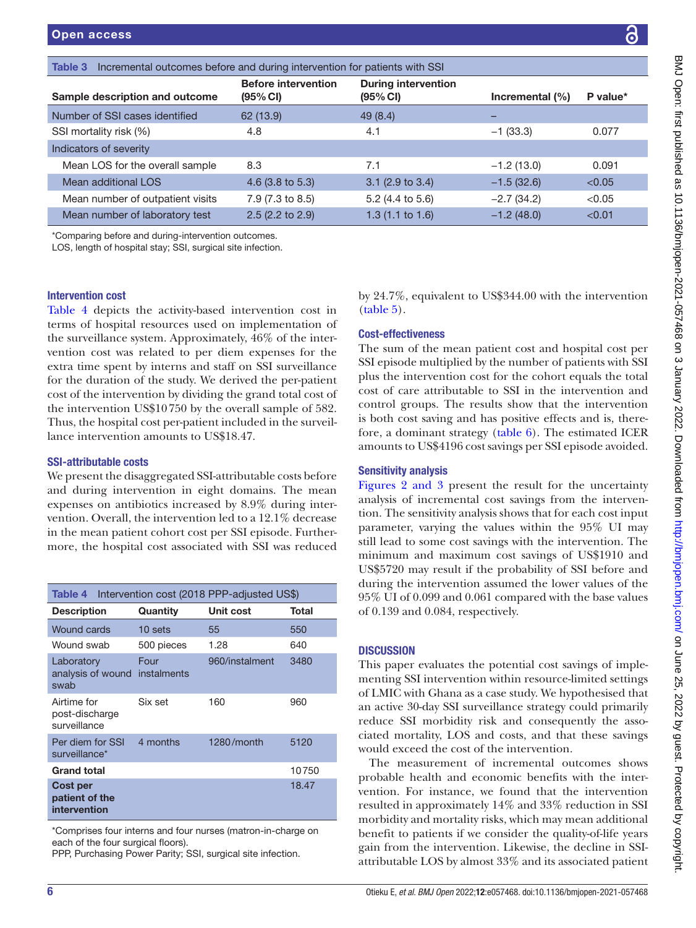<span id="page-5-0"></span>

| Incremental outcomes before and during intervention for patients with SSI<br>Table 3 |                                        |                                        |                     |          |
|--------------------------------------------------------------------------------------|----------------------------------------|----------------------------------------|---------------------|----------|
| Sample description and outcome                                                       | <b>Before intervention</b><br>(95% CI) | <b>During intervention</b><br>(95% CI) | Incremental $(\% )$ | P value* |
| Number of SSI cases identified                                                       | 62 (13.9)                              | 49(8.4)                                |                     |          |
| SSI mortality risk (%)                                                               | 4.8                                    | 4.1                                    | $-1(33.3)$          | 0.077    |
| Indicators of severity                                                               |                                        |                                        |                     |          |
| Mean LOS for the overall sample                                                      | 8.3                                    | 7.1                                    | $-1.2(13.0)$        | 0.091    |
| Mean additional LOS                                                                  | $4.6$ (3.8 to 5.3)                     | $3.1$ (2.9 to 3.4)                     | $-1.5(32.6)$        | < 0.05   |
| Mean number of outpatient visits                                                     | 7.9 (7.3 to 8.5)                       | 5.2 (4.4 to 5.6)                       | $-2.7(34.2)$        | < 0.05   |
| Mean number of laboratory test                                                       | $2.5(2.2 \text{ to } 2.9)$             | $1.3(1.1 \text{ to } 1.6)$             | $-1.2(48.0)$        | < 0.01   |
| *Camparina befare and during interception outcomes                                   |                                        |                                        |                     |          |

\*Comparing before and during-intervention outcomes.

LOS, length of hospital stay; SSI, surgical site infection.

### Intervention cost

[Table](#page-5-1) 4 depicts the activity-based intervention cost in terms of hospital resources used on implementation of the surveillance system. Approximately, 46% of the intervention cost was related to per diem expenses for the extra time spent by interns and staff on SSI surveillance for the duration of the study. We derived the per-patient cost of the intervention by dividing the grand total cost of the intervention US\$10750 by the overall sample of 582. Thus, the hospital cost per-patient included in the surveillance intervention amounts to US\$18.47.

### SSI-attributable costs

We present the disaggregated SSI-attributable costs before and during intervention in eight domains. The mean expenses on antibiotics increased by 8.9% during intervention. Overall, the intervention led to a 12.1% decrease in the mean patient cohort cost per SSI episode. Furthermore, the hospital cost associated with SSI was reduced

<span id="page-5-1"></span>

| Intervention cost (2018 PPP-adjusted US\$)<br>Table 4 |                     |                |       |
|-------------------------------------------------------|---------------------|----------------|-------|
| <b>Description</b>                                    | Quantity            | Unit cost      | Total |
| Wound cards                                           | $10$ sets           | 55             | 550   |
| Wound swab                                            | 500 pieces          | 1.28           | 640   |
| Laboratory<br>analysis of wound<br>swab               | Four<br>instalments | 960/instalment | 3480  |
| Airtime for<br>post-discharge<br>surveillance         | Six set             | 160            | 960   |
| Per diem for SSI<br>surveillance*                     | 4 months            | 1280/month     | 5120  |
| <b>Grand total</b>                                    |                     |                | 10750 |
| Cost per<br>patient of the<br>intervention            |                     |                | 18.47 |

\*Comprises four interns and four nurses (matron-in-charge on each of the four surgical floors).

PPP, Purchasing Power Parity; SSI, surgical site infection.

by 24.7%, equivalent to US\$344.00 with the intervention [\(table](#page-6-0) 5).

### Cost-effectiveness

The sum of the mean patient cost and hospital cost per SSI episode multiplied by the number of patients with SSI plus the intervention cost for the cohort equals the total cost of care attributable to SSI in the intervention and control groups. The results show that the intervention is both cost saving and has positive effects and is, therefore, a dominant strategy [\(table](#page-6-1) 6). The estimated ICER amounts to US\$4196 cost savings per SSI episode avoided.

### Sensitivity analysis

Figures [2 and 3](#page-7-0) present the result for the uncertainty analysis of incremental cost savings from the intervention. The sensitivity analysis shows that for each cost input parameter, varying the values within the 95% UI may still lead to some cost savings with the intervention. The minimum and maximum cost savings of US\$1910 and US\$5720 may result if the probability of SSI before and during the intervention assumed the lower values of the 95% UI of 0.099 and 0.061 compared with the base values of 0.139 and 0.084, respectively.

### **DISCUSSION**

This paper evaluates the potential cost savings of implementing SSI intervention within resource-limited settings of LMIC with Ghana as a case study. We hypothesised that an active 30-day SSI surveillance strategy could primarily reduce SSI morbidity risk and consequently the associated mortality, LOS and costs, and that these savings would exceed the cost of the intervention.

The measurement of incremental outcomes shows probable health and economic benefits with the intervention. For instance, we found that the intervention resulted in approximately 14% and 33% reduction in SSI morbidity and mortality risks, which may mean additional benefit to patients if we consider the quality-of-life years gain from the intervention. Likewise, the decline in SSIattributable LOS by almost 33% and its associated patient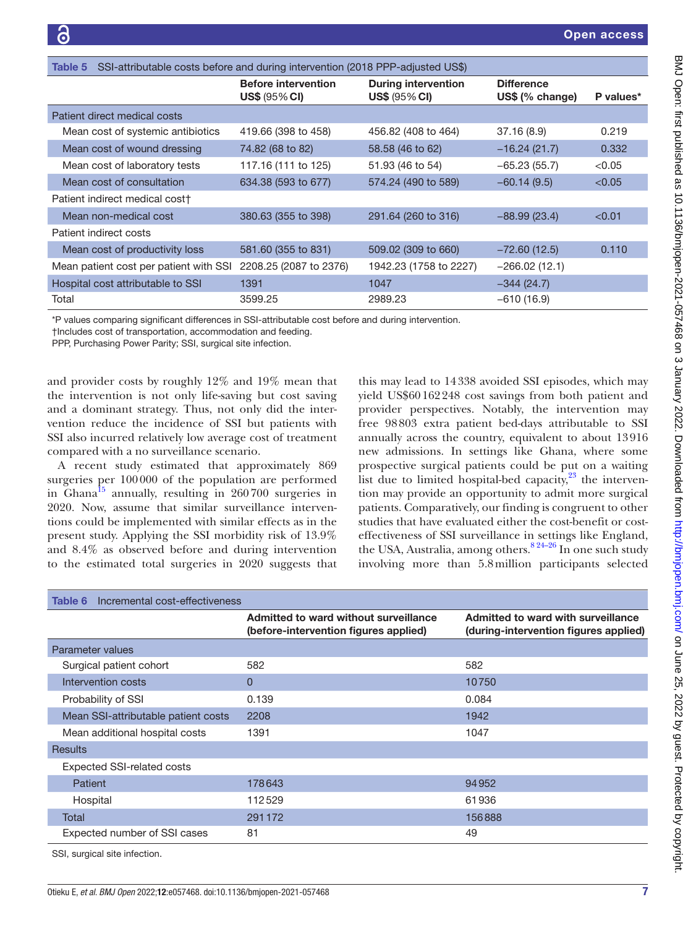<span id="page-6-0"></span>

| SSI-attributable costs before and during intervention (2018 PPP-adjusted US\$)<br>Table 5 |                                                    |                                                    |                                      |           |
|-------------------------------------------------------------------------------------------|----------------------------------------------------|----------------------------------------------------|--------------------------------------|-----------|
|                                                                                           | <b>Before intervention</b><br><b>US\$ (95% CI)</b> | <b>During intervention</b><br><b>US\$ (95% CI)</b> | <b>Difference</b><br>US\$ (% change) | P values* |
| Patient direct medical costs                                                              |                                                    |                                                    |                                      |           |
| Mean cost of systemic antibiotics                                                         | 419.66 (398 to 458)                                | 456.82 (408 to 464)                                | 37.16(8.9)                           | 0.219     |
| Mean cost of wound dressing                                                               | 74.82 (68 to 82)                                   | 58.58 (46 to 62)                                   | $-16.24(21.7)$                       | 0.332     |
| Mean cost of laboratory tests                                                             | 117.16 (111 to 125)                                | 51.93 (46 to 54)                                   | $-65.23(55.7)$                       | < 0.05    |
| Mean cost of consultation                                                                 | 634.38 (593 to 677)                                | 574.24 (490 to 589)                                | $-60.14(9.5)$                        | < 0.05    |
| Patient indirect medical cost <sup>+</sup>                                                |                                                    |                                                    |                                      |           |
| Mean non-medical cost                                                                     | 380.63 (355 to 398)                                | 291.64 (260 to 316)                                | $-88.99(23.4)$                       | < 0.01    |
| Patient indirect costs                                                                    |                                                    |                                                    |                                      |           |
| Mean cost of productivity loss                                                            | 581.60 (355 to 831)                                | 509.02 (309 to 660)                                | $-72.60(12.5)$                       | 0.110     |
| Mean patient cost per patient with SSI                                                    | 2208.25 (2087 to 2376)                             | 1942.23 (1758 to 2227)                             | $-266.02(12.1)$                      |           |
| Hospital cost attributable to SSI                                                         | 1391                                               | 1047                                               | $-344(24.7)$                         |           |
| Total                                                                                     | 3599.25                                            | 2989.23                                            | $-610(16.9)$                         |           |

\*P values comparing significant differences in SSI-attributable cost before and during intervention.

†Includes cost of transportation, accommodation and feeding.

PPP, Purchasing Power Parity; SSI, surgical site infection.

and provider costs by roughly 12% and 19% mean that the intervention is not only life-saving but cost saving and a dominant strategy. Thus, not only did the intervention reduce the incidence of SSI but patients with SSI also incurred relatively low average cost of treatment compared with a no surveillance scenario.

A recent study estimated that approximately 869 surgeries per 100000 of the population are performed in Ghana<sup>[15](#page-8-12)</sup> annually, resulting in  $260700$  surgeries in 2020. Now, assume that similar surveillance interventions could be implemented with similar effects as in the present study. Applying the SSI morbidity risk of 13.9% and 8.4% as observed before and during intervention to the estimated total surgeries in 2020 suggests that

this may lead to 14338 avoided SSI episodes, which may yield US\$60162248 cost savings from both patient and provider perspectives. Notably, the intervention may free 98803 extra patient bed-days attributable to SSI annually across the country, equivalent to about 13916 new admissions. In settings like Ghana, where some prospective surgical patients could be put on a waiting list due to limited hospital-bed capacity, $2^3$  the intervention may provide an opportunity to admit more surgical patients. Comparatively, our finding is congruent to other studies that have evaluated either the cost-benefit or costeffectiveness of SSI surveillance in settings like England, the USA, Australia, among others.<sup>8 24–26</sup> In one such study involving more than 5.8million participants selected

<span id="page-6-1"></span>

| Incremental cost-effectiveness<br>Table 6 |                                                                                |                                                                             |
|-------------------------------------------|--------------------------------------------------------------------------------|-----------------------------------------------------------------------------|
|                                           | Admitted to ward without surveillance<br>(before-intervention figures applied) | Admitted to ward with surveillance<br>(during-intervention figures applied) |
| Parameter values                          |                                                                                |                                                                             |
| Surgical patient cohort                   | 582                                                                            | 582                                                                         |
| Intervention costs                        | $\Omega$                                                                       | 10750                                                                       |
| Probability of SSI                        | 0.139                                                                          | 0.084                                                                       |
| Mean SSI-attributable patient costs       | 2208                                                                           | 1942                                                                        |
| Mean additional hospital costs            | 1391                                                                           | 1047                                                                        |
| <b>Results</b>                            |                                                                                |                                                                             |
| <b>Expected SSI-related costs</b>         |                                                                                |                                                                             |
| Patient                                   | 178643                                                                         | 94952                                                                       |
| Hospital                                  | 112529                                                                         | 61936                                                                       |
| Total                                     | 291172                                                                         | 156888                                                                      |
| Expected number of SSI cases              | 81                                                                             | 49                                                                          |
| SSI, surgical site infection.             |                                                                                |                                                                             |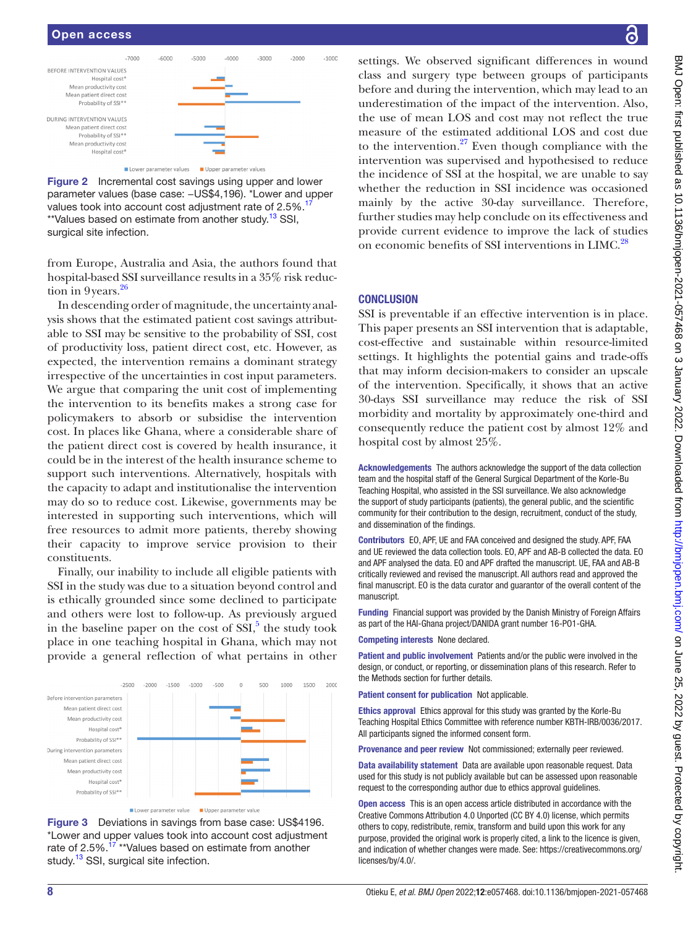### Open access



<span id="page-7-0"></span>

from Europe, Australia and Asia, the authors found that hospital-based SSI surveillance results in a 35% risk reduction in  $9$ years. $2<sup>6</sup>$ 

In descending order of magnitude, the uncertainty analysis shows that the estimated patient cost savings attributable to SSI may be sensitive to the probability of SSI, cost of productivity loss, patient direct cost, etc. However, as expected, the intervention remains a dominant strategy irrespective of the uncertainties in cost input parameters. We argue that comparing the unit cost of implementing the intervention to its benefits makes a strong case for policymakers to absorb or subsidise the intervention cost. In places like Ghana, where a considerable share of the patient direct cost is covered by health insurance, it could be in the interest of the health insurance scheme to support such interventions. Alternatively, hospitals with the capacity to adapt and institutionalise the intervention may do so to reduce cost. Likewise, governments may be interested in supporting such interventions, which will free resources to admit more patients, thereby showing their capacity to improve service provision to their constituents.

Finally, our inability to include all eligible patients with SSI in the study was due to a situation beyond control and is ethically grounded since some declined to participate and others were lost to follow-up. As previously argued in the baseline paper on the cost of  $\text{SSI},^5$  $\text{SSI},^5$  the study took place in one teaching hospital in Ghana, which may not provide a general reflection of what pertains in other



Figure 3 Deviations in savings from base case: US\$4196. \*Lower and upper values took into account cost adjustment rate of 2.5%.<sup>[17](#page-8-14)</sup> \*\*Values based on estimate from another study.<sup>[13](#page-8-8)</sup> SSI, surgical site infection.

settings. We observed significant differences in wound class and surgery type between groups of participants before and during the intervention, which may lead to an underestimation of the impact of the intervention. Also, the use of mean LOS and cost may not reflect the true measure of the estimated additional LOS and cost due to the intervention. $27$  Even though compliance with the intervention was supervised and hypothesised to reduce the incidence of SSI at the hospital, we are unable to say whether the reduction in SSI incidence was occasioned mainly by the active 30-day surveillance. Therefore, further studies may help conclude on its effectiveness and provide current evidence to improve the lack of studies on economic benefits of SSI interventions in LIMC.<sup>28</sup>

### **CONCLUSION**

SSI is preventable if an effective intervention is in place. This paper presents an SSI intervention that is adaptable, cost-effective and sustainable within resource-limited settings. It highlights the potential gains and trade-offs that may inform decision-makers to consider an upscale of the intervention. Specifically, it shows that an active 30-days SSI surveillance may reduce the risk of SSI morbidity and mortality by approximately one-third and consequently reduce the patient cost by almost 12% and hospital cost by almost 25%.

Acknowledgements The authors acknowledge the support of the data collection team and the hospital staff of the General Surgical Department of the Korle-Bu Teaching Hospital, who assisted in the SSI surveillance. We also acknowledge the support of study participants (patients), the general public, and the scientific community for their contribution to the design, recruitment, conduct of the study, and dissemination of the findings.

Contributors EO, APF, UE and FAA conceived and designed the study. APF, FAA and UE reviewed the data collection tools. EO, APF and AB-B collected the data. EO and APF analysed the data. EO and APF drafted the manuscript. UE, FAA and AB-B critically reviewed and revised the manuscript. All authors read and approved the final manuscript. EO is the data curator and guarantor of the overall content of the manuscript.

Funding Financial support was provided by the Danish Ministry of Foreign Affairs as part of the HAI-Ghana project/DANIDA grant number 16-PO1-GHA.

Competing interests None declared.

Patient and public involvement Patients and/or the public were involved in the design, or conduct, or reporting, or dissemination plans of this research. Refer to the Methods section for further details.

Patient consent for publication Not applicable.

Ethics approval Ethics approval for this study was granted by the Korle-Bu Teaching Hospital Ethics Committee with reference number KBTH-IRB/0036/2017. All participants signed the informed consent form.

Provenance and peer review Not commissioned; externally peer reviewed.

Data availability statement Data are available upon reasonable request. Data used for this study is not publicly available but can be assessed upon reasonable request to the corresponding author due to ethics approval guidelines.

Open access This is an open access article distributed in accordance with the Creative Commons Attribution 4.0 Unported (CC BY 4.0) license, which permits others to copy, redistribute, remix, transform and build upon this work for any purpose, provided the original work is properly cited, a link to the licence is given, and indication of whether changes were made. See: [https://creativecommons.org/](https://creativecommons.org/licenses/by/4.0/) [licenses/by/4.0/](https://creativecommons.org/licenses/by/4.0/).